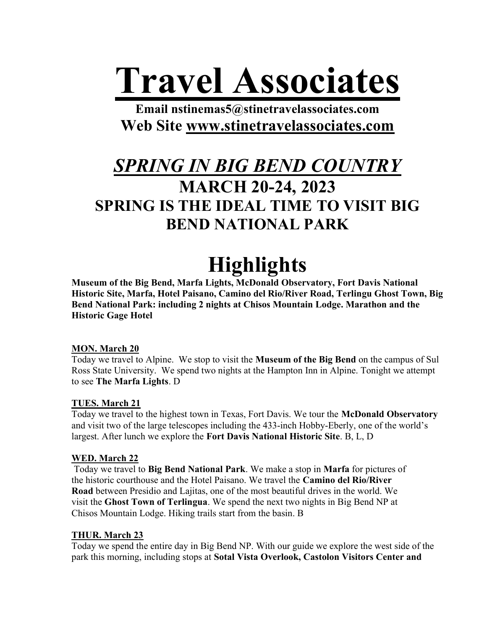# Travel Associates

Email nstinemas5@stinetravelassociates.com Web Site www.stinetravelassociates.com

### SPRING IN BIG BEND COUNTRY MARCH 20-24, 2023 SPRING IS THE IDEAL TIME TO VISIT BIG BEND NATIONAL PARK

## **Highlights**

Museum of the Big Bend, Marfa Lights, McDonald Observatory, Fort Davis National Historic Site, Marfa, Hotel Paisano, Camino del Rio/River Road, Terlingu Ghost Town, Big Bend National Park: including 2 nights at Chisos Mountain Lodge. Marathon and the Historic Gage Hotel

#### MON. March 20

Today we travel to Alpine. We stop to visit the Museum of the Big Bend on the campus of Sul Ross State University. We spend two nights at the Hampton Inn in Alpine. Tonight we attempt to see The Marfa Lights. D

#### TUES. March 21

Today we travel to the highest town in Texas, Fort Davis. We tour the McDonald Observatory and visit two of the large telescopes including the 433-inch Hobby-Eberly, one of the world's largest. After lunch we explore the Fort Davis National Historic Site. B, L, D

#### WED. March 22

 Today we travel to Big Bend National Park. We make a stop in Marfa for pictures of the historic courthouse and the Hotel Paisano. We travel the Camino del Rio/River Road between Presidio and Lajitas, one of the most beautiful drives in the world. We visit the Ghost Town of Terlingua. We spend the next two nights in Big Bend NP at Chisos Mountain Lodge. Hiking trails start from the basin. B

#### THUR. March 23

Today we spend the entire day in Big Bend NP. With our guide we explore the west side of the park this morning, including stops at Sotal Vista Overlook, Castolon Visitors Center and